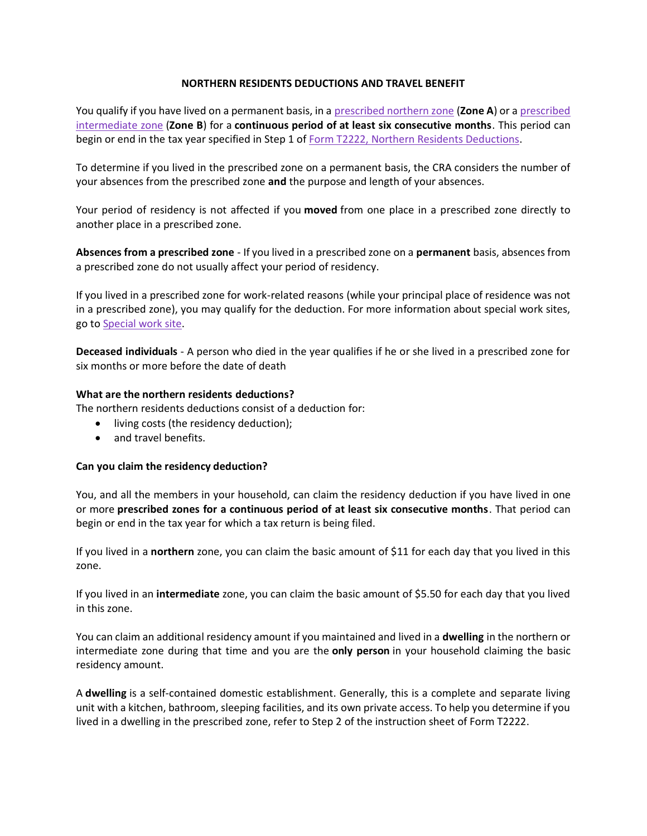# **NORTHERN RESIDENTS DEDUCTIONS AND TRAVEL BENEFIT**

You qualify if you have lived on a permanent basis, in a [prescribed northern zone](https://www.canada.ca/en/revenue-agency/services/tax/individuals/topics/about-your-tax-return/tax-return/completing-a-tax-return/deductions-credits-expenses/line-255-northern-residents-deductions/line-255-places-located-prescribed-zones.html) (**Zone A**) or a [prescribed](https://www.canada.ca/en/revenue-agency/services/tax/individuals/topics/about-your-tax-return/tax-return/completing-a-tax-return/deductions-credits-expenses/line-255-northern-residents-deductions/line-255-places-located-prescribed-zones.html)  [intermediate zone](https://www.canada.ca/en/revenue-agency/services/tax/individuals/topics/about-your-tax-return/tax-return/completing-a-tax-return/deductions-credits-expenses/line-255-northern-residents-deductions/line-255-places-located-prescribed-zones.html) (**Zone B**) for a **continuous period of at least six consecutive months**. This period can begin or end in the tax year specified in Step 1 of [Form T2222, Northern Residents Deductions.](https://www.canada.ca/en/revenue-agency/services/forms-publications/forms/t2222.html)

To determine if you lived in the prescribed zone on a permanent basis, the CRA considers the number of your absences from the prescribed zone **and** the purpose and length of your absences.

Your period of residency is not affected if you **moved** from one place in a prescribed zone directly to another place in a prescribed zone.

**Absences from a prescribed zone** - If you lived in a prescribed zone on a **permanent** basis, absences from a prescribed zone do not usually affect your period of residency.

If you lived in a prescribed zone for work-related reasons (while your principal place of residence was not in a prescribed zone), you may qualify for the deduction. For more information about special work sites, go to [Special work site.](https://www.canada.ca/en/revenue-agency/services/tax/individuals/topics/about-your-tax-return/tax-return/completing-a-tax-return/deductions-credits-expenses/line-255-northern-residents-deductions/line-255-calculate-residency-deduction.html#sw)

**Deceased individuals** - A person who died in the year qualifies if he or she lived in a prescribed zone for six months or more before the date of death

### **What are the northern residents deductions?**

The northern residents deductions consist of a deduction for:

- living costs (the residency deduction);
- and travel benefits.

#### **Can you claim the residency deduction?**

You, and all the members in your household, can claim the residency deduction if you have lived in one or more **prescribed zones for a continuous period of at least six consecutive months**. That period can begin or end in the tax year for which a tax return is being filed.

If you lived in a **northern** zone, you can claim the basic amount of \$11 for each day that you lived in this zone.

If you lived in an **intermediate** zone, you can claim the basic amount of \$5.50 for each day that you lived in this zone.

You can claim an additional residency amount if you maintained and lived in a **dwelling** in the northern or intermediate zone during that time and you are the **only person** in your household claiming the basic residency amount.

A **dwelling** is a self-contained domestic establishment. Generally, this is a complete and separate living unit with a kitchen, bathroom, sleeping facilities, and its own private access. To help you determine if you lived in a dwelling in the prescribed zone, refer to Step 2 of the instruction sheet of Form T2222.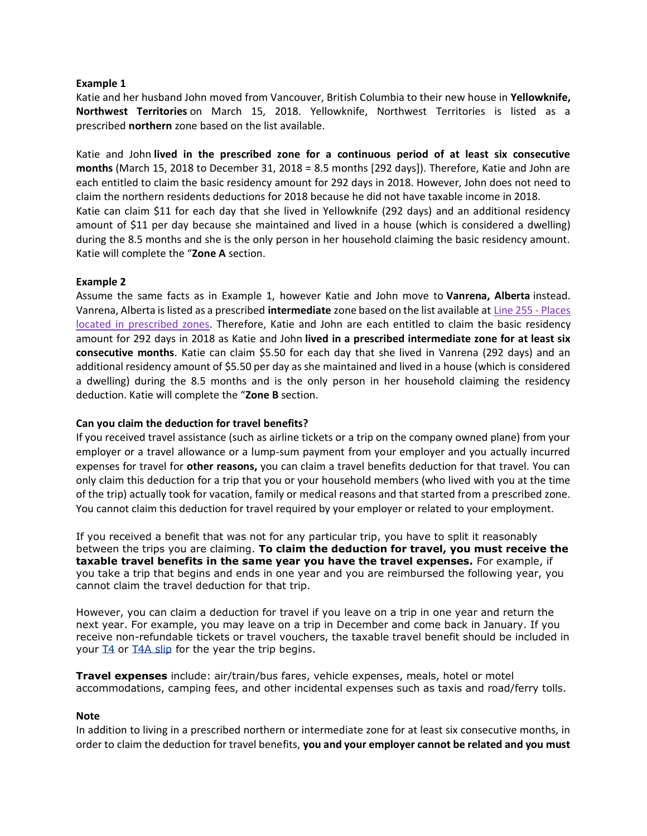#### **Example 1**

Katie and her husband John moved from Vancouver, British Columbia to their new house in **Yellowknife, Northwest Territories** on March 15, 2018. Yellowknife, Northwest Territories is listed as a prescribed **northern** zone based on the list available.

Katie and John **lived in the prescribed zone for a continuous period of at least six consecutive months** (March 15, 2018 to December 31, 2018 = 8.5 months [292 days]). Therefore, Katie and John are each entitled to claim the basic residency amount for 292 days in 2018. However, John does not need to claim the northern residents deductions for 2018 because he did not have taxable income in 2018. Katie can claim \$11 for each day that she lived in Yellowknife (292 days) and an additional residency amount of \$11 per day because she maintained and lived in a house (which is considered a dwelling) during the 8.5 months and she is the only person in her household claiming the basic residency amount. Katie will complete the "**Zone A** section.

### **Example 2**

Assume the same facts as in Example 1, however Katie and John move to **Vanrena, Alberta** instead. Vanrena, Alberta is listed as a prescribed **intermediate** zone based on the list available at [Line 255 -](https://www.canada.ca/en/revenue-agency/services/tax/individuals/topics/about-your-tax-return/tax-return/completing-a-tax-return/deductions-credits-expenses/line-255-northern-residents-deductions/line-255-places-located-prescribed-zones.html) Places [located in prescribed zones.](https://www.canada.ca/en/revenue-agency/services/tax/individuals/topics/about-your-tax-return/tax-return/completing-a-tax-return/deductions-credits-expenses/line-255-northern-residents-deductions/line-255-places-located-prescribed-zones.html) Therefore, Katie and John are each entitled to claim the basic residency amount for 292 days in 2018 as Katie and John **lived in a prescribed intermediate zone for at least six consecutive months**. Katie can claim \$5.50 for each day that she lived in Vanrena (292 days) and an additional residency amount of \$5.50 per day as she maintained and lived in a house (which is considered a dwelling) during the 8.5 months and is the only person in her household claiming the residency deduction. Katie will complete the "**Zone B** section.

## **Can you claim the deduction for travel benefits?**

If you received travel assistance (such as airline tickets or a trip on the company owned plane) from your employer or a travel allowance or a lump-sum payment from your employer and you actually incurred expenses for travel for **other reasons,** you can claim a travel benefits deduction for that travel. You can only claim this deduction for a trip that you or your household members (who lived with you at the time of the trip) actually took for vacation, family or medical reasons and that started from a prescribed zone. You cannot claim this deduction for travel required by your employer or related to your employment.

If you received a benefit that was not for any particular trip, you have to split it reasonably between the trips you are claiming. **To claim the deduction for travel, you must receive the taxable travel benefits in the same year you have the travel expenses.** For example, if you take a trip that begins and ends in one year and you are reimbursed the following year, you cannot claim the travel deduction for that trip.

However, you can claim a deduction for travel if you leave on a trip in one year and return the next year. For example, you may leave on a trip in December and come back in January. If you receive non-refundable tickets or travel vouchers, the taxable travel benefit should be included in your **T4** or **T4A** slip for the year the trip begins.

**Travel expenses** include: air/train/bus fares, vehicle expenses, meals, hotel or motel accommodations, camping fees, and other incidental expenses such as taxis and road/ferry tolls.

#### **Note**

In addition to living in a prescribed northern or intermediate zone for at least six consecutive months, in order to claim the deduction for travel benefits, **you and your employer cannot be related and you must**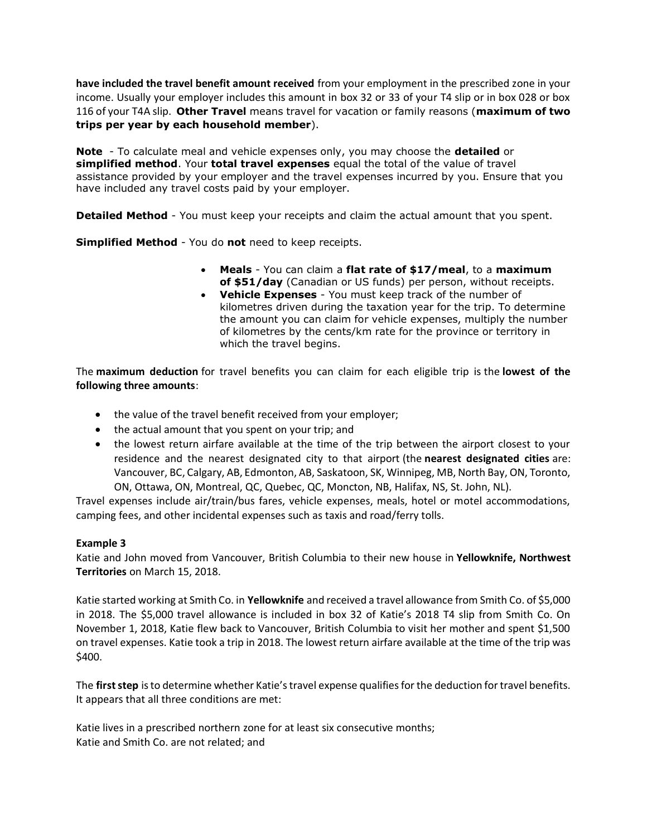**have included the travel benefit amount received** from your employment in the prescribed zone in your income. Usually your employer includes this amount in box 32 or 33 of your T4 slip or in box 028 or box 116 of your T4A slip. **Other Travel** means travel for vacation or family reasons (**maximum of two trips per year by each household member**).

**Note** - To calculate meal and vehicle expenses only, you may choose the **detailed** or **simplified method**. Your **total travel expenses** equal the total of the value of travel assistance provided by your employer and the travel expenses incurred by you. Ensure that you have included any travel costs paid by your employer.

**Detailed Method** - You must keep your receipts and claim the actual amount that you spent.

**Simplified Method** - You do **not** need to keep receipts.

- **Meals** You can claim a **flat rate of \$17/meal**, to a **maximum of \$51/day** (Canadian or US funds) per person, without receipts.
- **Vehicle Expenses** You must keep track of the number of kilometres driven during the taxation year for the trip. To determine the amount you can claim for vehicle expenses, multiply the number of kilometres by the cents/km rate for the province or territory in which the travel begins.

The **maximum deduction** for travel benefits you can claim for each eligible trip is the **lowest of the following three amounts**:

- the value of the travel benefit received from your employer;
- the actual amount that you spent on your trip; and
- the lowest return airfare available at the time of the trip between the airport closest to your residence and the nearest designated city to that airport (the **nearest designated cities** are: Vancouver, BC, Calgary, AB, Edmonton, AB, Saskatoon, SK, Winnipeg, MB, North Bay, ON, Toronto, ON, Ottawa, ON, Montreal, QC, Quebec, QC, Moncton, NB, Halifax, NS, St. John, NL).

Travel expenses include air/train/bus fares, vehicle expenses, meals, hotel or motel accommodations, camping fees, and other incidental expenses such as taxis and road/ferry tolls.

# **Example 3**

Katie and John moved from Vancouver, British Columbia to their new house in **Yellowknife, Northwest Territories** on March 15, 2018.

Katie started working at Smith Co. in **Yellowknife** and received a travel allowance from Smith Co. of \$5,000 in 2018. The \$5,000 travel allowance is included in box 32 of Katie's 2018 T4 slip from Smith Co. On November 1, 2018, Katie flew back to Vancouver, British Columbia to visit her mother and spent \$1,500 on travel expenses. Katie took a trip in 2018. The lowest return airfare available at the time of the trip was \$400.

The **first step** is to determine whether Katie's travel expense qualifies for the deduction for travel benefits. It appears that all three conditions are met:

Katie lives in a prescribed northern zone for at least six consecutive months; Katie and Smith Co. are not related; and